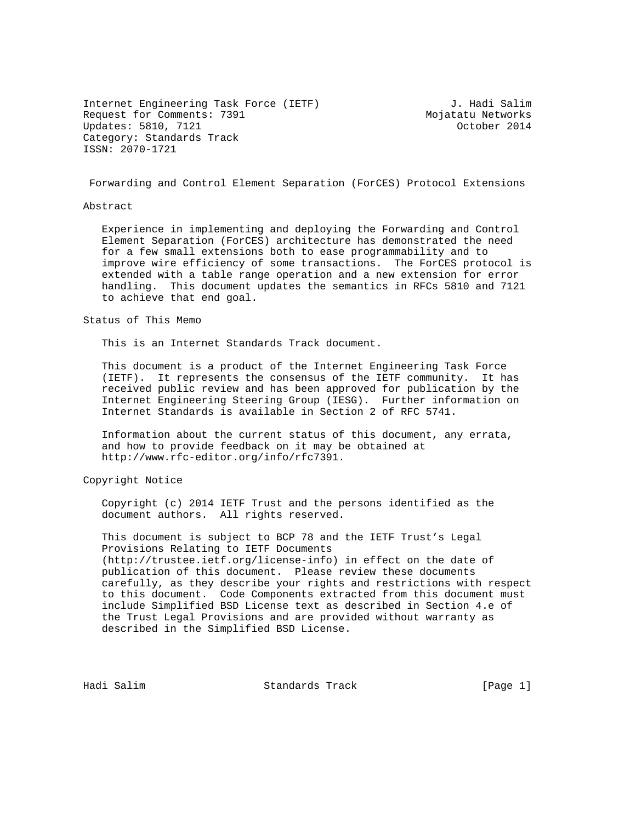Internet Engineering Task Force (IETF) J. Hadi Salim<br>Request for Comments: 7391 Mojatatu Networks Request for Comments: 7391 Updates: 5810, 7121 October 2014 Category: Standards Track ISSN: 2070-1721

Forwarding and Control Element Separation (ForCES) Protocol Extensions

#### Abstract

 Experience in implementing and deploying the Forwarding and Control Element Separation (ForCES) architecture has demonstrated the need for a few small extensions both to ease programmability and to improve wire efficiency of some transactions. The ForCES protocol is extended with a table range operation and a new extension for error handling. This document updates the semantics in RFCs 5810 and 7121 to achieve that end goal.

#### Status of This Memo

This is an Internet Standards Track document.

 This document is a product of the Internet Engineering Task Force (IETF). It represents the consensus of the IETF community. It has received public review and has been approved for publication by the Internet Engineering Steering Group (IESG). Further information on Internet Standards is available in Section 2 of RFC 5741.

 Information about the current status of this document, any errata, and how to provide feedback on it may be obtained at http://www.rfc-editor.org/info/rfc7391.

#### Copyright Notice

 Copyright (c) 2014 IETF Trust and the persons identified as the document authors. All rights reserved.

 This document is subject to BCP 78 and the IETF Trust's Legal Provisions Relating to IETF Documents (http://trustee.ietf.org/license-info) in effect on the date of publication of this document. Please review these documents carefully, as they describe your rights and restrictions with respect to this document. Code Components extracted from this document must include Simplified BSD License text as described in Section 4.e of the Trust Legal Provisions and are provided without warranty as described in the Simplified BSD License.

Hadi Salim Standards Track (Page 1)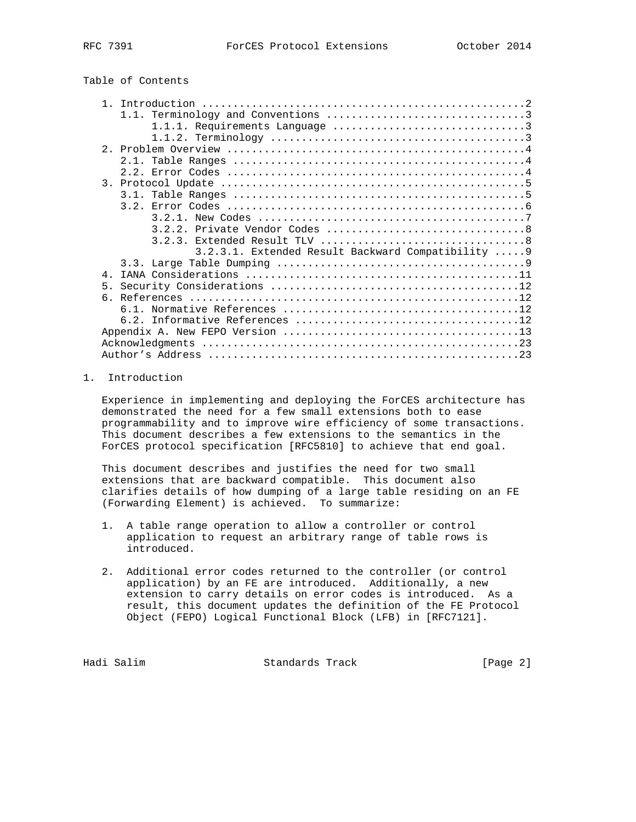| Table of Contents |  |
|-------------------|--|
|-------------------|--|

| $\mathbf{1}$                                       |
|----------------------------------------------------|
|                                                    |
|                                                    |
|                                                    |
|                                                    |
|                                                    |
|                                                    |
|                                                    |
|                                                    |
|                                                    |
|                                                    |
|                                                    |
|                                                    |
| 3.2.3.1. Extended Result Backward Compatibility  9 |
|                                                    |
| $\overline{4}$                                     |
| 5 <sub>1</sub>                                     |
| б.                                                 |
|                                                    |
|                                                    |
|                                                    |
|                                                    |
|                                                    |

# 1. Introduction

 Experience in implementing and deploying the ForCES architecture has demonstrated the need for a few small extensions both to ease programmability and to improve wire efficiency of some transactions. This document describes a few extensions to the semantics in the ForCES protocol specification [RFC5810] to achieve that end goal.

 This document describes and justifies the need for two small extensions that are backward compatible. This document also clarifies details of how dumping of a large table residing on an FE (Forwarding Element) is achieved. To summarize:

- 1. A table range operation to allow a controller or control application to request an arbitrary range of table rows is introduced.
- 2. Additional error codes returned to the controller (or control application) by an FE are introduced. Additionally, a new extension to carry details on error codes is introduced. As a result, this document updates the definition of the FE Protocol Object (FEPO) Logical Functional Block (LFB) in [RFC7121].

Hadi Salim Standards Track (Page 2)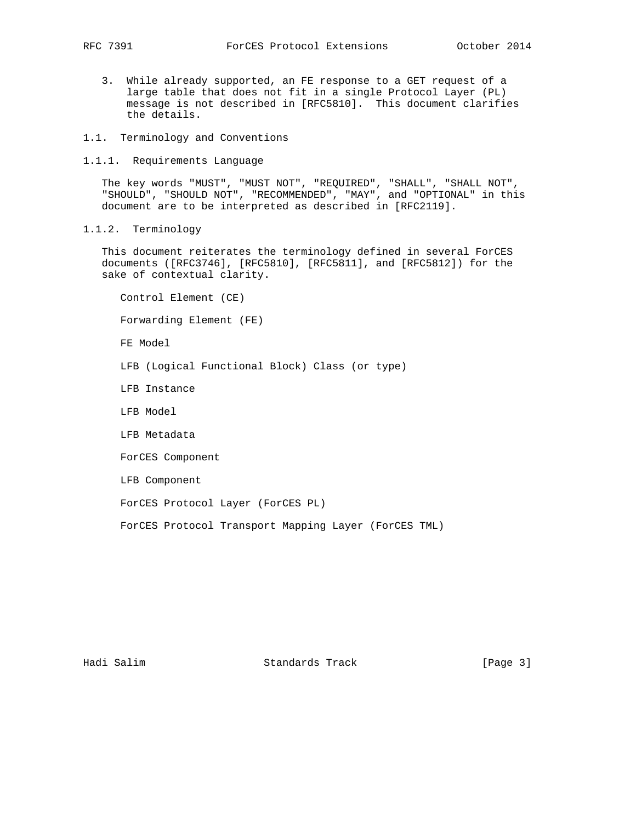- 3. While already supported, an FE response to a GET request of a large table that does not fit in a single Protocol Layer (PL) message is not described in [RFC5810]. This document clarifies the details.
- 1.1. Terminology and Conventions
- 1.1.1. Requirements Language

 The key words "MUST", "MUST NOT", "REQUIRED", "SHALL", "SHALL NOT", "SHOULD", "SHOULD NOT", "RECOMMENDED", "MAY", and "OPTIONAL" in this document are to be interpreted as described in [RFC2119].

1.1.2. Terminology

 This document reiterates the terminology defined in several ForCES documents ([RFC3746], [RFC5810], [RFC5811], and [RFC5812]) for the sake of contextual clarity.

 Control Element (CE) Forwarding Element (FE) FE Model LFB (Logical Functional Block) Class (or type) LFB Instance LFB Model LFB Metadata ForCES Component LFB Component ForCES Protocol Layer (ForCES PL) ForCES Protocol Transport Mapping Layer (ForCES TML)

Hadi Salim Standards Track [Page 3]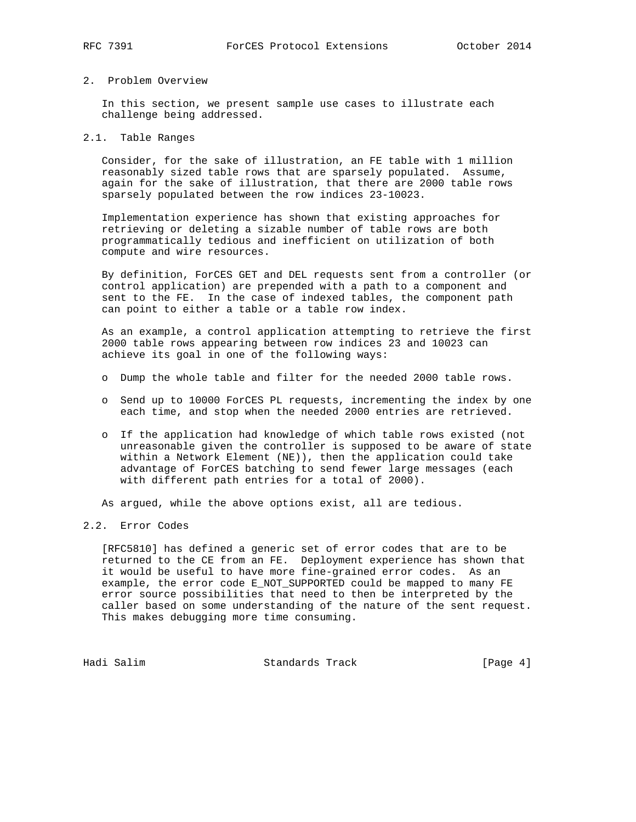### 2. Problem Overview

 In this section, we present sample use cases to illustrate each challenge being addressed.

# 2.1. Table Ranges

 Consider, for the sake of illustration, an FE table with 1 million reasonably sized table rows that are sparsely populated. Assume, again for the sake of illustration, that there are 2000 table rows sparsely populated between the row indices 23-10023.

 Implementation experience has shown that existing approaches for retrieving or deleting a sizable number of table rows are both programmatically tedious and inefficient on utilization of both compute and wire resources.

 By definition, ForCES GET and DEL requests sent from a controller (or control application) are prepended with a path to a component and sent to the FE. In the case of indexed tables, the component path can point to either a table or a table row index.

 As an example, a control application attempting to retrieve the first 2000 table rows appearing between row indices 23 and 10023 can achieve its goal in one of the following ways:

- o Dump the whole table and filter for the needed 2000 table rows.
- o Send up to 10000 ForCES PL requests, incrementing the index by one each time, and stop when the needed 2000 entries are retrieved.
- o If the application had knowledge of which table rows existed (not unreasonable given the controller is supposed to be aware of state within a Network Element (NE)), then the application could take advantage of ForCES batching to send fewer large messages (each with different path entries for a total of 2000).

As argued, while the above options exist, all are tedious.

### 2.2. Error Codes

 [RFC5810] has defined a generic set of error codes that are to be returned to the CE from an FE. Deployment experience has shown that it would be useful to have more fine-grained error codes. As an example, the error code E\_NOT\_SUPPORTED could be mapped to many FE error source possibilities that need to then be interpreted by the caller based on some understanding of the nature of the sent request. This makes debugging more time consuming.

Hadi Salim Standards Track [Page 4]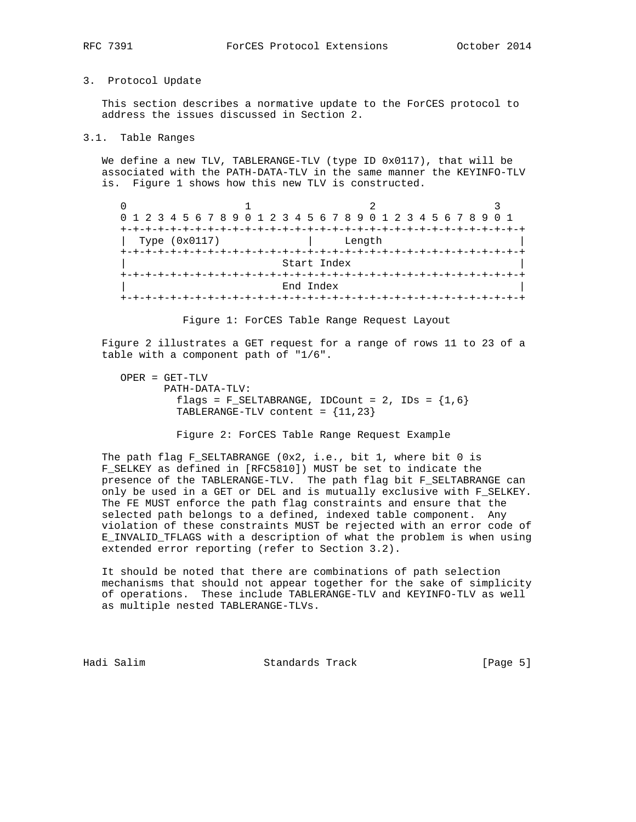# 3. Protocol Update

 This section describes a normative update to the ForCES protocol to address the issues discussed in Section 2.

3.1. Table Ranges

 We define a new TLV, TABLERANGE-TLV (type ID 0x0117), that will be associated with the PATH-DATA-TLV in the same manner the KEYINFO-TLV is. Figure 1 shows how this new TLV is constructed.

| 0 1 2 3 4 5 6 7 8 9 0 1 2 3 4 5 6 7 8 9 0 1 2 3 4 5 6 7 8 9 0 1 |  |  |  |  |  |           |             |        |  |  |  |  |  |
|-----------------------------------------------------------------|--|--|--|--|--|-----------|-------------|--------|--|--|--|--|--|
|                                                                 |  |  |  |  |  |           |             |        |  |  |  |  |  |
| Type (0x0117)                                                   |  |  |  |  |  |           |             | Length |  |  |  |  |  |
|                                                                 |  |  |  |  |  |           |             |        |  |  |  |  |  |
|                                                                 |  |  |  |  |  |           | Start Index |        |  |  |  |  |  |
|                                                                 |  |  |  |  |  |           |             |        |  |  |  |  |  |
|                                                                 |  |  |  |  |  | End Index |             |        |  |  |  |  |  |
|                                                                 |  |  |  |  |  |           |             |        |  |  |  |  |  |

Figure 1: ForCES Table Range Request Layout

 Figure 2 illustrates a GET request for a range of rows 11 to 23 of a table with a component path of "1/6".

 OPER = GET-TLV PATH-DATA-TLV: flags =  $F_{SELTABRANGE}$ , IDCount = 2, IDs =  ${1, 6}$ TABLERANGE-TLV content = {11,23}

Figure 2: ForCES Table Range Request Example

 The path flag F\_SELTABRANGE (0x2, i.e., bit 1, where bit 0 is F\_SELKEY as defined in [RFC5810]) MUST be set to indicate the presence of the TABLERANGE-TLV. The path flag bit F\_SELTABRANGE can only be used in a GET or DEL and is mutually exclusive with F\_SELKEY. The FE MUST enforce the path flag constraints and ensure that the selected path belongs to a defined, indexed table component. Any violation of these constraints MUST be rejected with an error code of E\_INVALID\_TFLAGS with a description of what the problem is when using extended error reporting (refer to Section 3.2).

 It should be noted that there are combinations of path selection mechanisms that should not appear together for the sake of simplicity of operations. These include TABLERANGE-TLV and KEYINFO-TLV as well as multiple nested TABLERANGE-TLVs.

Hadi Salim Standards Track (Page 5)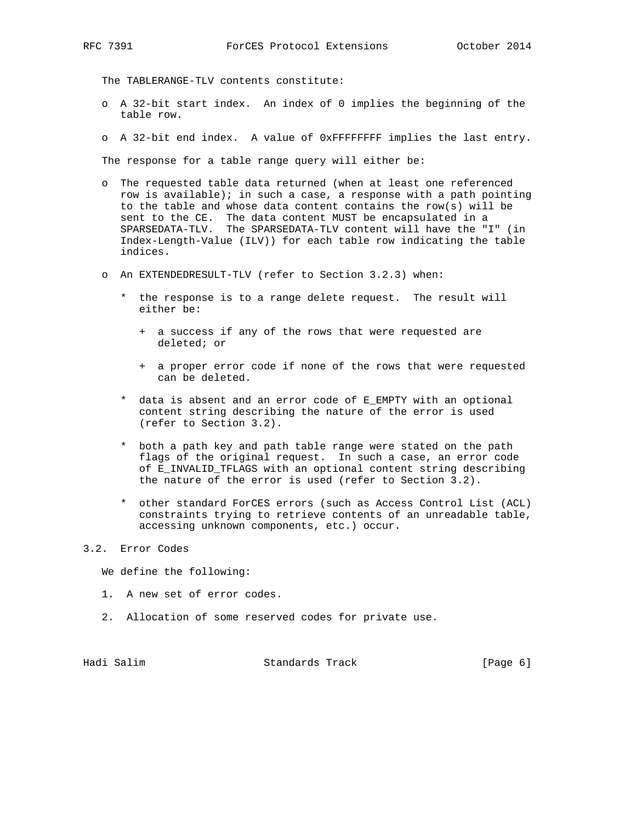The TABLERANGE-TLV contents constitute:

- o A 32-bit start index. An index of 0 implies the beginning of the table row.
- o A 32-bit end index. A value of 0xFFFFFFFF implies the last entry.

The response for a table range query will either be:

- o The requested table data returned (when at least one referenced row is available); in such a case, a response with a path pointing to the table and whose data content contains the row(s) will be sent to the CE. The data content MUST be encapsulated in a SPARSEDATA-TLV. The SPARSEDATA-TLV content will have the "I" (in Index-Length-Value (ILV)) for each table row indicating the table indices.
- o An EXTENDEDRESULT-TLV (refer to Section 3.2.3) when:
	- \* the response is to a range delete request. The result will either be:
		- + a success if any of the rows that were requested are deleted; or
		- + a proper error code if none of the rows that were requested can be deleted.
	- \* data is absent and an error code of E\_EMPTY with an optional content string describing the nature of the error is used (refer to Section 3.2).
	- \* both a path key and path table range were stated on the path flags of the original request. In such a case, an error code of E\_INVALID\_TFLAGS with an optional content string describing the nature of the error is used (refer to Section 3.2).
	- \* other standard ForCES errors (such as Access Control List (ACL) constraints trying to retrieve contents of an unreadable table, accessing unknown components, etc.) occur.

#### 3.2. Error Codes

We define the following:

- 1. A new set of error codes.
- 2. Allocation of some reserved codes for private use.

Hadi Salim Standards Track (Page 6)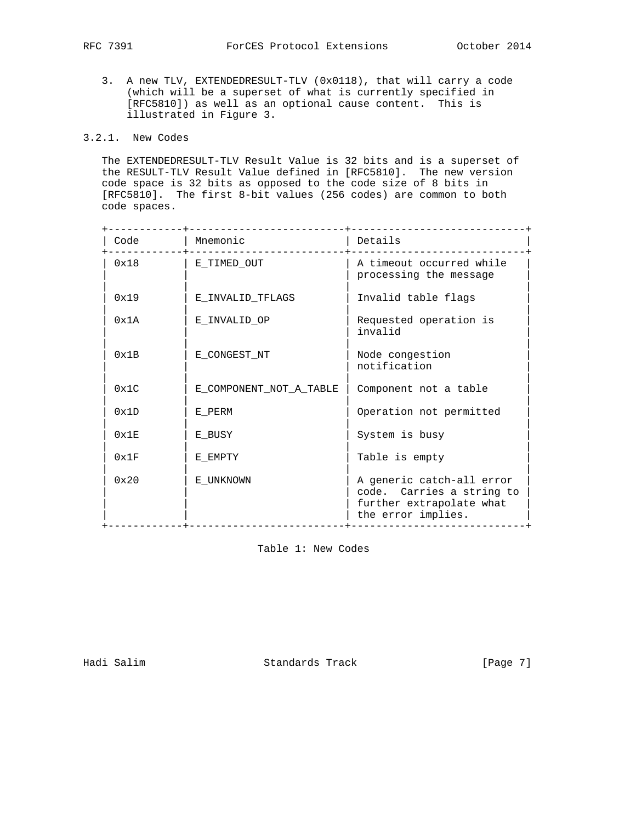3. A new TLV, EXTENDEDRESULT-TLV (0x0118), that will carry a code (which will be a superset of what is currently specified in [RFC5810]) as well as an optional cause content. This is illustrated in Figure 3.

# 3.2.1. New Codes

 The EXTENDEDRESULT-TLV Result Value is 32 bits and is a superset of the RESULT-TLV Result Value defined in [RFC5810]. The new version code space is 32 bits as opposed to the code size of 8 bits in [RFC5810]. The first 8-bit values (256 codes) are common to both code spaces.

| Code           | Mnemonic                | Details                                                                                                  |
|----------------|-------------------------|----------------------------------------------------------------------------------------------------------|
| 0x18           | E_TIMED_OUT             | A timeout occurred while<br>processing the message                                                       |
| 0x19           | E INVALID TFLAGS        | Invalid table flags                                                                                      |
| 0x1A           | E INVALID OP            | Requested operation is<br>invalid                                                                        |
| 0x1B           | E CONGEST NT            | Node congestion<br>notification                                                                          |
| $0 \times 1$ C | E COMPONENT NOT A TABLE | Component not a table                                                                                    |
| 0x1D           | E PERM                  | Operation not permitted                                                                                  |
| 0x1E           | E BUSY                  | System is busy                                                                                           |
| 0x1F           | E EMPTY                 | Table is empty                                                                                           |
| 0x20           | E UNKNOWN               | A generic catch-all error<br>code. Carries a string to<br>further extrapolate what<br>the error implies. |

Table 1: New Codes

Hadi Salim Standards Track [Page 7]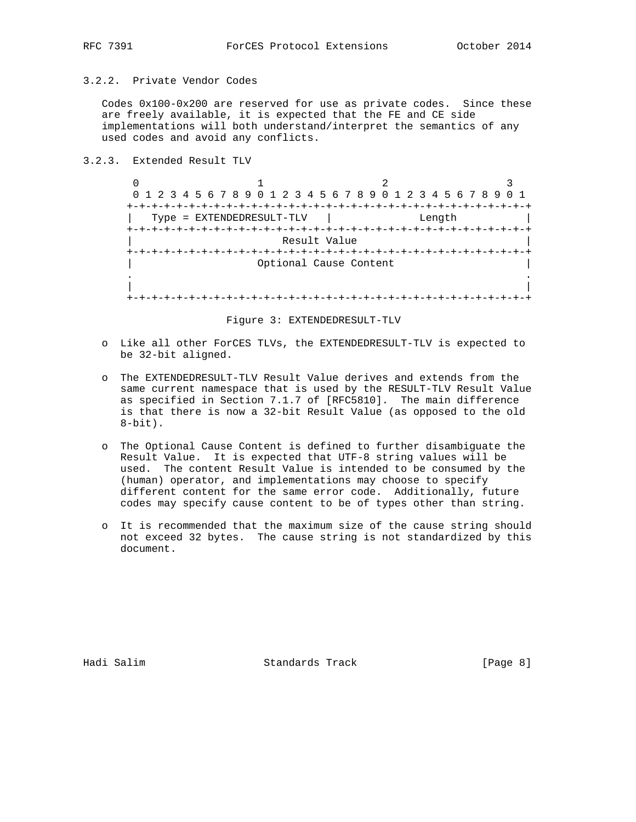# 3.2.2. Private Vendor Codes

 Codes 0x100-0x200 are reserved for use as private codes. Since these are freely available, it is expected that the FE and CE side implementations will both understand/interpret the semantics of any used codes and avoid any conflicts.

# 3.2.3. Extended Result TLV

 $\begin{array}{ccccccc}\n0 & & & 1 & & & 2 & & 3\n\end{array}$  0 1 2 3 4 5 6 7 8 9 0 1 2 3 4 5 6 7 8 9 0 1 2 3 4 5 6 7 8 9 0 1 +-+-+-+-+-+-+-+-+-+-+-+-+-+-+-+-+-+-+-+-+-+-+-+-+-+-+-+-+-+-+-+-+ | Type = EXTENDEDRESULT-TLV | Length | +-+-+-+-+-+-+-+-+-+-+-+-+-+-+-+-+-+-+-+-+-+-+-+-+-+-+-+-+-+-+-+-+ Result Value +-+-+-+-+-+-+-+-+-+-+-+-+-+-+-+-+-+-+-+-+-+-+-+-+-+-+-+-+-+-+-+-+ Optional Cause Content . . | | +-+-+-+-+-+-+-+-+-+-+-+-+-+-+-+-+-+-+-+-+-+-+-+-+-+-+-+-+-+-+-+-+

#### Figure 3: EXTENDEDRESULT-TLV

- o Like all other ForCES TLVs, the EXTENDEDRESULT-TLV is expected to be 32-bit aligned.
- o The EXTENDEDRESULT-TLV Result Value derives and extends from the same current namespace that is used by the RESULT-TLV Result Value as specified in Section 7.1.7 of [RFC5810]. The main difference is that there is now a 32-bit Result Value (as opposed to the old  $8$ -bit).
- o The Optional Cause Content is defined to further disambiguate the Result Value. It is expected that UTF-8 string values will be used. The content Result Value is intended to be consumed by the (human) operator, and implementations may choose to specify different content for the same error code. Additionally, future codes may specify cause content to be of types other than string.
- o It is recommended that the maximum size of the cause string should not exceed 32 bytes. The cause string is not standardized by this document.

Hadi Salim Standards Track [Page 8]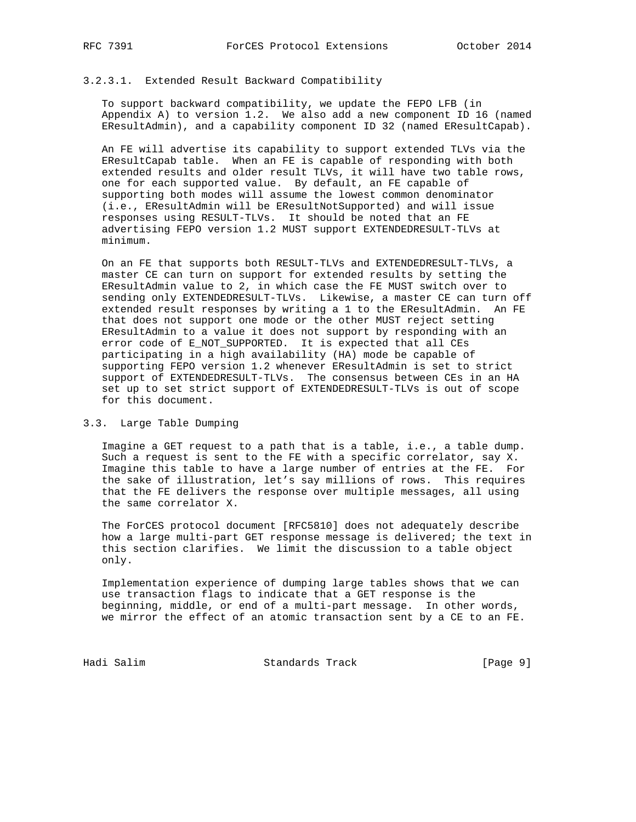### 3.2.3.1. Extended Result Backward Compatibility

 To support backward compatibility, we update the FEPO LFB (in Appendix A) to version 1.2. We also add a new component ID 16 (named EResultAdmin), and a capability component ID 32 (named EResultCapab).

 An FE will advertise its capability to support extended TLVs via the EResultCapab table. When an FE is capable of responding with both extended results and older result TLVs, it will have two table rows, one for each supported value. By default, an FE capable of supporting both modes will assume the lowest common denominator (i.e., EResultAdmin will be EResultNotSupported) and will issue responses using RESULT-TLVs. It should be noted that an FE advertising FEPO version 1.2 MUST support EXTENDEDRESULT-TLVs at minimum.

 On an FE that supports both RESULT-TLVs and EXTENDEDRESULT-TLVs, a master CE can turn on support for extended results by setting the EResultAdmin value to 2, in which case the FE MUST switch over to sending only EXTENDEDRESULT-TLVs. Likewise, a master CE can turn off extended result responses by writing a 1 to the EResultAdmin. An FE that does not support one mode or the other MUST reject setting EResultAdmin to a value it does not support by responding with an error code of E\_NOT\_SUPPORTED. It is expected that all CEs participating in a high availability (HA) mode be capable of supporting FEPO version 1.2 whenever EResultAdmin is set to strict support of EXTENDEDRESULT-TLVs. The consensus between CEs in an HA set up to set strict support of EXTENDEDRESULT-TLVs is out of scope for this document.

#### 3.3. Large Table Dumping

 Imagine a GET request to a path that is a table, i.e., a table dump. Such a request is sent to the FE with a specific correlator, say X. Imagine this table to have a large number of entries at the FE. For the sake of illustration, let's say millions of rows. This requires that the FE delivers the response over multiple messages, all using the same correlator X.

 The ForCES protocol document [RFC5810] does not adequately describe how a large multi-part GET response message is delivered; the text in this section clarifies. We limit the discussion to a table object only.

 Implementation experience of dumping large tables shows that we can use transaction flags to indicate that a GET response is the beginning, middle, or end of a multi-part message. In other words, we mirror the effect of an atomic transaction sent by a CE to an FE.

Hadi Salim Standards Track [Page 9]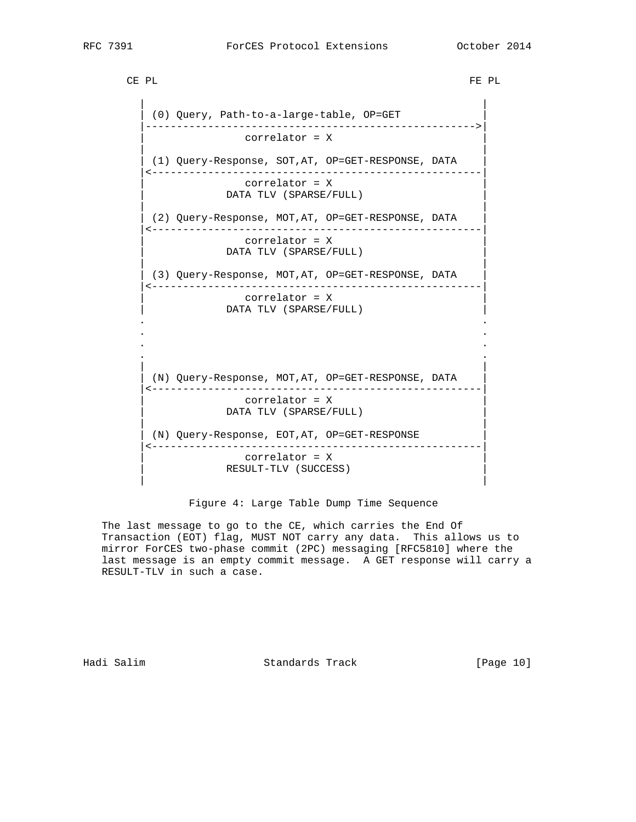CE PL SERVICE OF STRAIGHT CHARGE OF STRAIGHT CHARGE OF STRAIGHT CHARGE OF STRAIGHT CHARGE OF STRAIGHT CHARGE OF STRAIGHT CHARGE OF STRAIGHT CHARGE OF STRAIGHT CHARGE OF STRAIGHT CHARGE OF STRAIGHT CHARGE OF STRAIGHT CHARGE

 | | | (0) Query, Path-to-a-large-table, OP=GET | |----------------------------------------------------->| | correlator = X | | | | (1) Query-Response, SOT,AT, OP=GET-RESPONSE, DATA | |<-----------------------------------------------------| | correlator = X | DATA TLV (SPARSE/FULL) | | (2) Query-Response, MOT, AT, OP=GET-RESPONSE, DATA |<-----------------------------------------------------| | correlator = X | DATA TLV (SPARSE/FULL) | | | (3) Query-Response, MOT,AT, OP=GET-RESPONSE, DATA | |<-----------------------------------------------------| | correlator = X | DATA TLV (SPARSE/FULL) . . . . . . . . | | | (N) Query-Response, MOT,AT, OP=GET-RESPONSE, DATA | |<-----------------------------------------------------| | correlator = X | DATA TLV (SPARSE/FULL) | | | (N) Query-Response, EOT,AT, OP=GET-RESPONSE | |<-----------------------------------------------------| | correlator = X | RESULT-TLV (SUCCESS)

Figure 4: Large Table Dump Time Sequence

| |

 The last message to go to the CE, which carries the End Of Transaction (EOT) flag, MUST NOT carry any data. This allows us to mirror ForCES two-phase commit (2PC) messaging [RFC5810] where the last message is an empty commit message. A GET response will carry a RESULT-TLV in such a case.

Hadi Salim Standards Track [Page 10]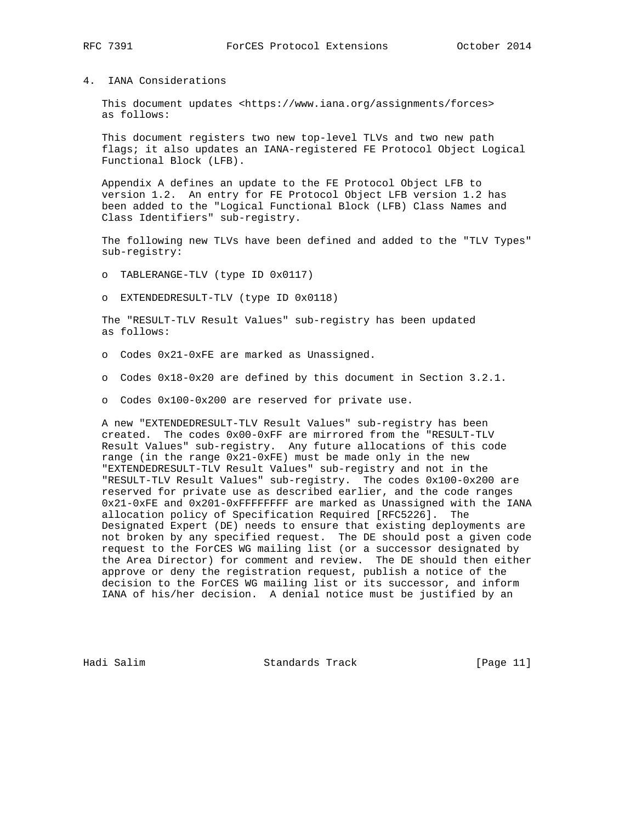#### 4. IANA Considerations

 This document updates <https://www.iana.org/assignments/forces> as follows:

 This document registers two new top-level TLVs and two new path flags; it also updates an IANA-registered FE Protocol Object Logical Functional Block (LFB).

 Appendix A defines an update to the FE Protocol Object LFB to version 1.2. An entry for FE Protocol Object LFB version 1.2 has been added to the "Logical Functional Block (LFB) Class Names and Class Identifiers" sub-registry.

 The following new TLVs have been defined and added to the "TLV Types" sub-registry:

o TABLERANGE-TLV (type ID 0x0117)

o EXTENDEDRESULT-TLV (type ID 0x0118)

 The "RESULT-TLV Result Values" sub-registry has been updated as follows:

- o Codes 0x21-0xFE are marked as Unassigned.
- o Codes 0x18-0x20 are defined by this document in Section 3.2.1.
- o Codes 0x100-0x200 are reserved for private use.

 A new "EXTENDEDRESULT-TLV Result Values" sub-registry has been created. The codes 0x00-0xFF are mirrored from the "RESULT-TLV Result Values" sub-registry. Any future allocations of this code range (in the range 0x21-0xFE) must be made only in the new "EXTENDEDRESULT-TLV Result Values" sub-registry and not in the "RESULT-TLV Result Values" sub-registry. The codes 0x100-0x200 are reserved for private use as described earlier, and the code ranges 0x21-0xFE and 0x201-0xFFFFFFFF are marked as Unassigned with the IANA allocation policy of Specification Required [RFC5226]. The Designated Expert (DE) needs to ensure that existing deployments are not broken by any specified request. The DE should post a given code request to the ForCES WG mailing list (or a successor designated by the Area Director) for comment and review. The DE should then either approve or deny the registration request, publish a notice of the decision to the ForCES WG mailing list or its successor, and inform IANA of his/her decision. A denial notice must be justified by an

Hadi Salim Standards Track [Page 11]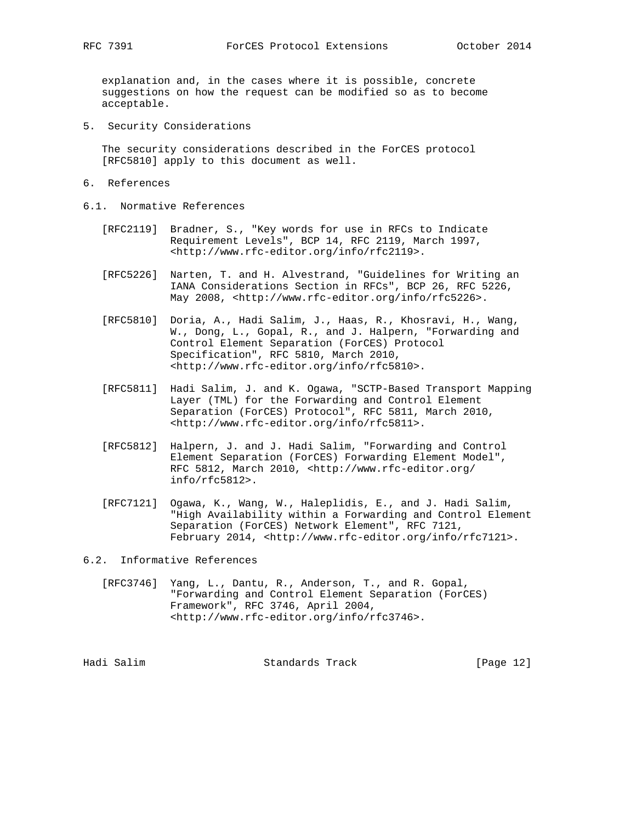explanation and, in the cases where it is possible, concrete suggestions on how the request can be modified so as to become acceptable.

5. Security Considerations

 The security considerations described in the ForCES protocol [RFC5810] apply to this document as well.

- 6. References
- 6.1. Normative References
	- [RFC2119] Bradner, S., "Key words for use in RFCs to Indicate Requirement Levels", BCP 14, RFC 2119, March 1997, <http://www.rfc-editor.org/info/rfc2119>.
	- [RFC5226] Narten, T. and H. Alvestrand, "Guidelines for Writing an IANA Considerations Section in RFCs", BCP 26, RFC 5226, May 2008, <http://www.rfc-editor.org/info/rfc5226>.
	- [RFC5810] Doria, A., Hadi Salim, J., Haas, R., Khosravi, H., Wang, W., Dong, L., Gopal, R., and J. Halpern, "Forwarding and Control Element Separation (ForCES) Protocol Specification", RFC 5810, March 2010, <http://www.rfc-editor.org/info/rfc5810>.
	- [RFC5811] Hadi Salim, J. and K. Ogawa, "SCTP-Based Transport Mapping Layer (TML) for the Forwarding and Control Element Separation (ForCES) Protocol", RFC 5811, March 2010, <http://www.rfc-editor.org/info/rfc5811>.
	- [RFC5812] Halpern, J. and J. Hadi Salim, "Forwarding and Control Element Separation (ForCES) Forwarding Element Model", RFC 5812, March 2010, <http://www.rfc-editor.org/ info/rfc5812>.
	- [RFC7121] Ogawa, K., Wang, W., Haleplidis, E., and J. Hadi Salim, "High Availability within a Forwarding and Control Element Separation (ForCES) Network Element", RFC 7121, February 2014, <http://www.rfc-editor.org/info/rfc7121>.

6.2. Informative References

 [RFC3746] Yang, L., Dantu, R., Anderson, T., and R. Gopal, "Forwarding and Control Element Separation (ForCES) Framework", RFC 3746, April 2004, <http://www.rfc-editor.org/info/rfc3746>.

| [Page 12]<br>Hadi Salim<br>Standards Track |  |  |  |  |
|--------------------------------------------|--|--|--|--|
|--------------------------------------------|--|--|--|--|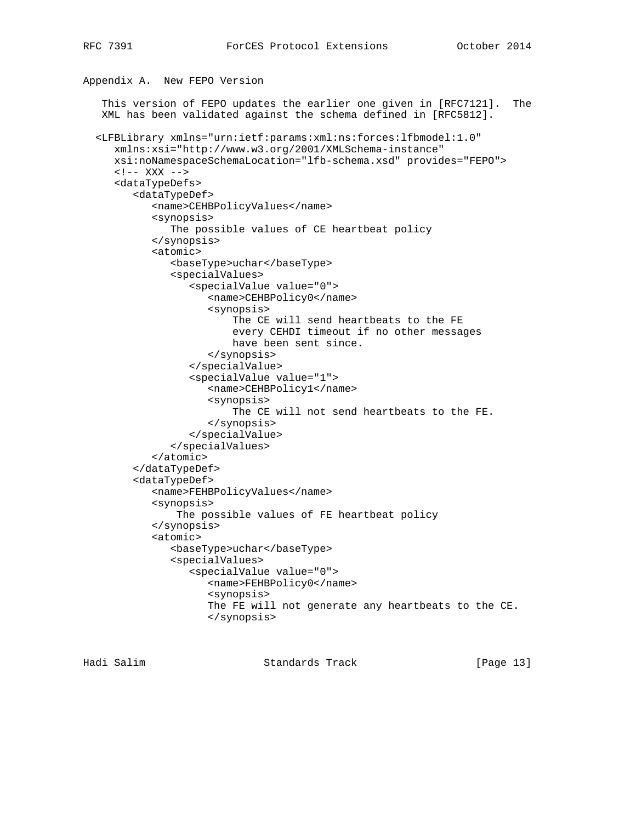Appendix A. New FEPO Version

# This version of FEPO updates the earlier one given in [RFC7121]. The XML has been validated against the schema defined in [RFC5812]. <LFBLibrary xmlns="urn:ietf:params:xml:ns:forces:lfbmodel:1.0" xmlns:xsi="http://www.w3.org/2001/XMLSchema-instance" xsi:noNamespaceSchemaLocation="lfb-schema.xsd" provides="FEPO">  $$  <dataTypeDefs> <dataTypeDef> <name>CEHBPolicyValues</name> <synopsis> The possible values of CE heartbeat policy </synopsis> <atomic> <baseType>uchar</baseType> <specialValues> <specialValue value="0"> <name>CEHBPolicy0</name> <synopsis> The CE will send heartbeats to the FE every CEHDI timeout if no other messages have been sent since. </synopsis> </specialValue> <specialValue value="1"> <name>CEHBPolicy1</name> <synopsis> The CE will not send heartbeats to the FE. </synopsis> </specialValue> </specialValues> </atomic> </dataTypeDef> <dataTypeDef> <name>FEHBPolicyValues</name> <synopsis> The possible values of FE heartbeat policy </synopsis> <atomic> <baseType>uchar</baseType> <specialValues> <specialValue value="0"> <name>FEHBPolicy0</name> <synopsis> The FE will not generate any heartbeats to the CE. </synopsis>

Hadi Salim Standards Track [Page 13]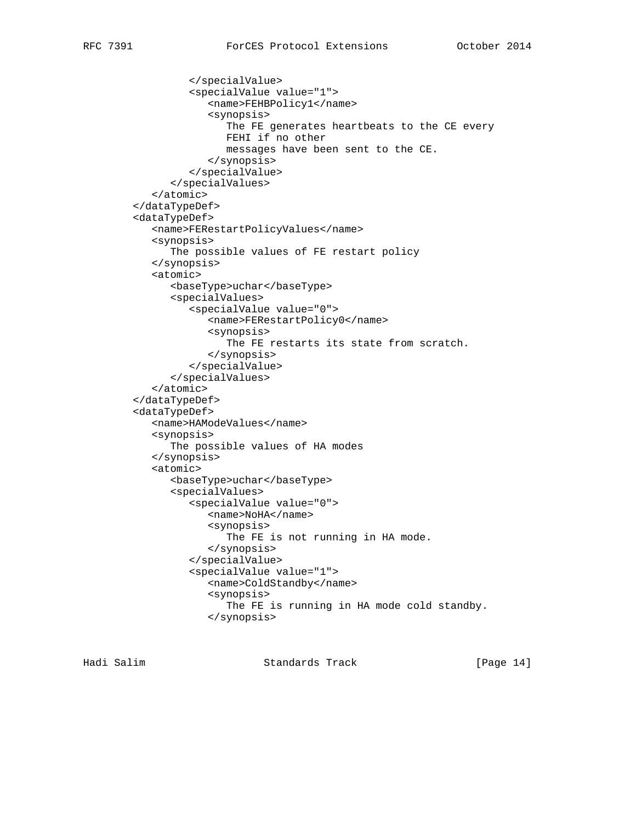```
 </specialValue>
         <specialValue value="1">
            <name>FEHBPolicy1</name>
            <synopsis>
                The FE generates heartbeats to the CE every
                FEHI if no other
               messages have been sent to the CE.
            </synopsis>
         </specialValue>
      </specialValues>
   </atomic>
</dataTypeDef>
<dataTypeDef>
   <name>FERestartPolicyValues</name>
   <synopsis>
      The possible values of FE restart policy
   </synopsis>
   <atomic>
      <baseType>uchar</baseType>
      <specialValues>
         <specialValue value="0">
            <name>FERestartPolicy0</name>
            <synopsis>
                The FE restarts its state from scratch.
            </synopsis>
         </specialValue>
      </specialValues>
   </atomic>
</dataTypeDef>
<dataTypeDef>
   <name>HAModeValues</name>
   <synopsis>
      The possible values of HA modes
   </synopsis>
   <atomic>
      <baseType>uchar</baseType>
      <specialValues>
         <specialValue value="0">
            <name>NoHA</name>
            <synopsis>
              The FE is not running in HA mode.
            </synopsis>
         </specialValue>
         <specialValue value="1">
            <name>ColdStandby</name>
            <synopsis>
               The FE is running in HA mode cold standby.
            </synopsis>
```
Hadi Salim Standards Track [Page 14]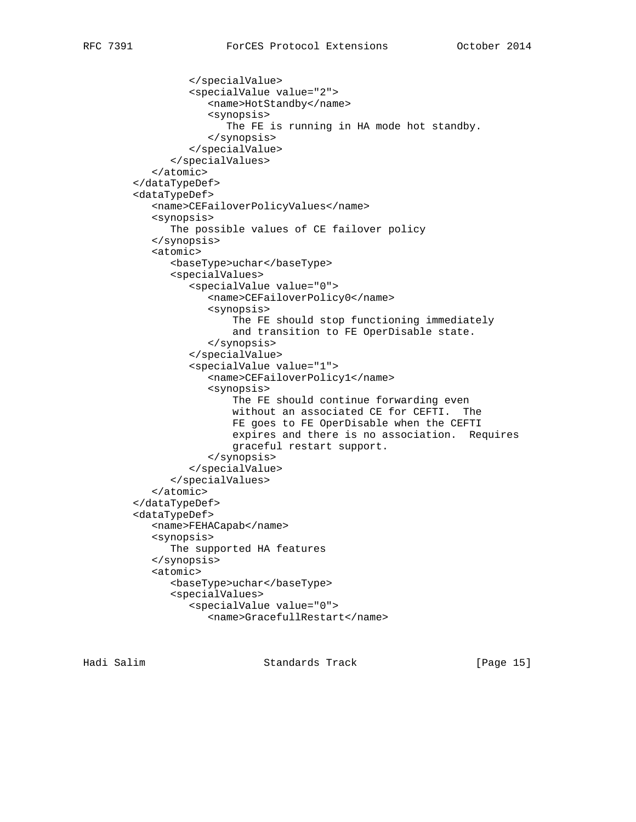```
 </specialValue>
         <specialValue value="2">
            <name>HotStandby</name>
            <synopsis>
               The FE is running in HA mode hot standby.
            </synopsis>
         </specialValue>
      </specialValues>
   </atomic>
</dataTypeDef>
<dataTypeDef>
   <name>CEFailoverPolicyValues</name>
   <synopsis>
      The possible values of CE failover policy
   </synopsis>
   <atomic>
      <baseType>uchar</baseType>
      <specialValues>
         <specialValue value="0">
            <name>CEFailoverPolicy0</name>
            <synopsis>
                The FE should stop functioning immediately
                and transition to FE OperDisable state.
            </synopsis>
         </specialValue>
         <specialValue value="1">
            <name>CEFailoverPolicy1</name>
            <synopsis>
                The FE should continue forwarding even
                without an associated CE for CEFTI. The
                FE goes to FE OperDisable when the CEFTI
                expires and there is no association. Requires
                graceful restart support.
            </synopsis>
         </specialValue>
      </specialValues>
   </atomic>
</dataTypeDef>
<dataTypeDef>
   <name>FEHACapab</name>
   <synopsis>
      The supported HA features
   </synopsis>
   <atomic>
      <baseType>uchar</baseType>
      <specialValues>
         <specialValue value="0">
            <name>GracefullRestart</name>
```
Hadi Salim Standards Track [Page 15]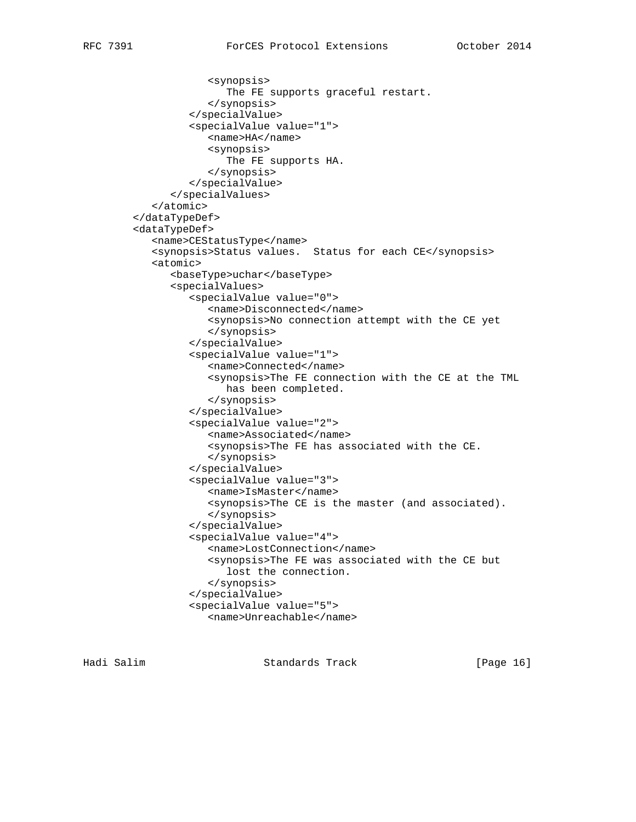```
 <synopsis>
                The FE supports graceful restart.
            </synopsis>
         </specialValue>
         <specialValue value="1">
            <name>HA</name>
            <synopsis>
               The FE supports HA.
            </synopsis>
         </specialValue>
      </specialValues>
   </atomic>
</dataTypeDef>
<dataTypeDef>
   <name>CEStatusType</name>
   <synopsis>Status values. Status for each CE</synopsis>
   <atomic>
      <baseType>uchar</baseType>
      <specialValues>
         <specialValue value="0">
            <name>Disconnected</name>
            <synopsis>No connection attempt with the CE yet
            </synopsis>
         </specialValue>
         <specialValue value="1">
            <name>Connected</name>
            <synopsis>The FE connection with the CE at the TML
               has been completed.
            </synopsis>
         </specialValue>
         <specialValue value="2">
            <name>Associated</name>
            <synopsis>The FE has associated with the CE.
            </synopsis>
         </specialValue>
         <specialValue value="3">
            <name>IsMaster</name>
            <synopsis>The CE is the master (and associated).
            </synopsis>
         </specialValue>
         <specialValue value="4">
            <name>LostConnection</name>
            <synopsis>The FE was associated with the CE but
               lost the connection.
            </synopsis>
         </specialValue>
         <specialValue value="5">
            <name>Unreachable</name>
```
Hadi Salim Standards Track [Page 16]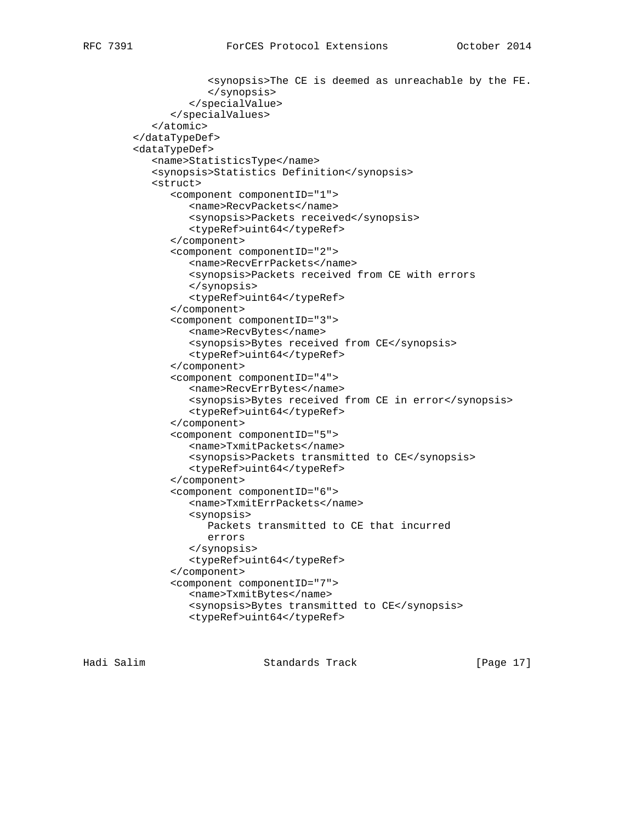```
 <synopsis>The CE is deemed as unreachable by the FE.
            </synopsis>
         </specialValue>
      </specialValues>
   </atomic>
</dataTypeDef>
<dataTypeDef>
   <name>StatisticsType</name>
   <synopsis>Statistics Definition</synopsis>
   <struct>
      <component componentID="1">
         <name>RecvPackets</name>
         <synopsis>Packets received</synopsis>
         <typeRef>uint64</typeRef>
      </component>
      <component componentID="2">
         <name>RecvErrPackets</name>
         <synopsis>Packets received from CE with errors
         </synopsis>
         <typeRef>uint64</typeRef>
      </component>
      <component componentID="3">
         <name>RecvBytes</name>
         <synopsis>Bytes received from CE</synopsis>
         <typeRef>uint64</typeRef>
      </component>
      <component componentID="4">
         <name>RecvErrBytes</name>
         <synopsis>Bytes received from CE in error</synopsis>
         <typeRef>uint64</typeRef>
      </component>
      <component componentID="5">
         <name>TxmitPackets</name>
         <synopsis>Packets transmitted to CE</synopsis>
         <typeRef>uint64</typeRef>
      </component>
      <component componentID="6">
         <name>TxmitErrPackets</name>
         <synopsis>
            Packets transmitted to CE that incurred
            errors
         </synopsis>
         <typeRef>uint64</typeRef>
      </component>
      <component componentID="7">
         <name>TxmitBytes</name>
         <synopsis>Bytes transmitted to CE</synopsis>
         <typeRef>uint64</typeRef>
```
Hadi Salim Standards Track [Page 17]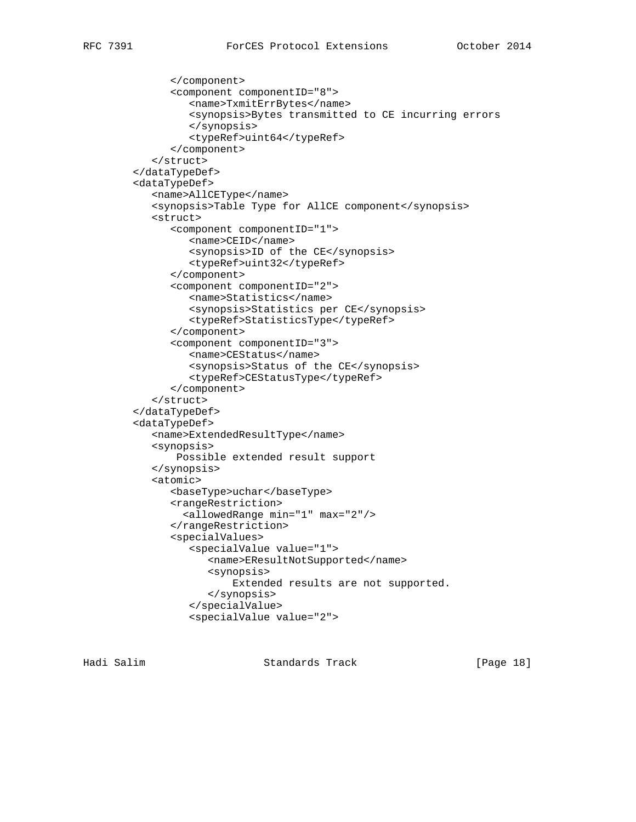```
 </component>
      <component componentID="8">
         <name>TxmitErrBytes</name>
         <synopsis>Bytes transmitted to CE incurring errors
         </synopsis>
         <typeRef>uint64</typeRef>
      </component>
   </struct>
</dataTypeDef>
<dataTypeDef>
   <name>AllCEType</name>
   <synopsis>Table Type for AllCE component</synopsis>
   <struct>
      <component componentID="1">
         <name>CEID</name>
         <synopsis>ID of the CE</synopsis>
         <typeRef>uint32</typeRef>
      </component>
      <component componentID="2">
         <name>Statistics</name>
         <synopsis>Statistics per CE</synopsis>
         <typeRef>StatisticsType</typeRef>
      </component>
      <component componentID="3">
         <name>CEStatus</name>
         <synopsis>Status of the CE</synopsis>
         <typeRef>CEStatusType</typeRef>
      </component>
   </struct>
</dataTypeDef>
<dataTypeDef>
   <name>ExtendedResultType</name>
   <synopsis>
       Possible extended result support
   </synopsis>
   <atomic>
      <baseType>uchar</baseType>
      <rangeRestriction>
        <allowedRange min="1" max="2"/>
      </rangeRestriction>
      <specialValues>
         <specialValue value="1">
            <name>EResultNotSupported</name>
            <synopsis>
                Extended results are not supported.
            </synopsis>
         </specialValue>
         <specialValue value="2">
```
Hadi Salim Standards Track [Page 18]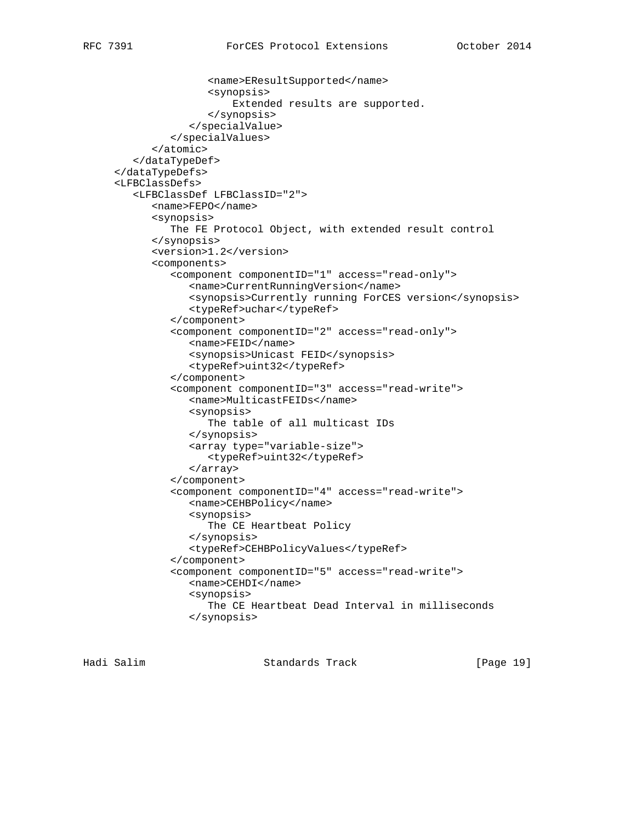```
 <name>EResultSupported</name>
               <synopsis>
                    Extended results are supported.
               </synopsis>
            </specialValue>
         </specialValues>
      </atomic>
   </dataTypeDef>
</dataTypeDefs>
<LFBClassDefs>
   <LFBClassDef LFBClassID="2">
      <name>FEPO</name>
      <synopsis>
         The FE Protocol Object, with extended result control
      </synopsis>
      <version>1.2</version>
      <components>
         <component componentID="1" access="read-only">
            <name>CurrentRunningVersion</name>
            <synopsis>Currently running ForCES version</synopsis>
            <typeRef>uchar</typeRef>
         </component>
         <component componentID="2" access="read-only">
            <name>FEID</name>
            <synopsis>Unicast FEID</synopsis>
            <typeRef>uint32</typeRef>
         </component>
         <component componentID="3" access="read-write">
            <name>MulticastFEIDs</name>
            <synopsis>
               The table of all multicast IDs
            </synopsis>
            <array type="variable-size">
               <typeRef>uint32</typeRef>
            </array>
         </component>
         <component componentID="4" access="read-write">
            <name>CEHBPolicy</name>
            <synopsis>
               The CE Heartbeat Policy
            </synopsis>
            <typeRef>CEHBPolicyValues</typeRef>
         </component>
         <component componentID="5" access="read-write">
            <name>CEHDI</name>
            <synopsis>
               The CE Heartbeat Dead Interval in milliseconds
            </synopsis>
```
Hadi Salim Standards Track [Page 19]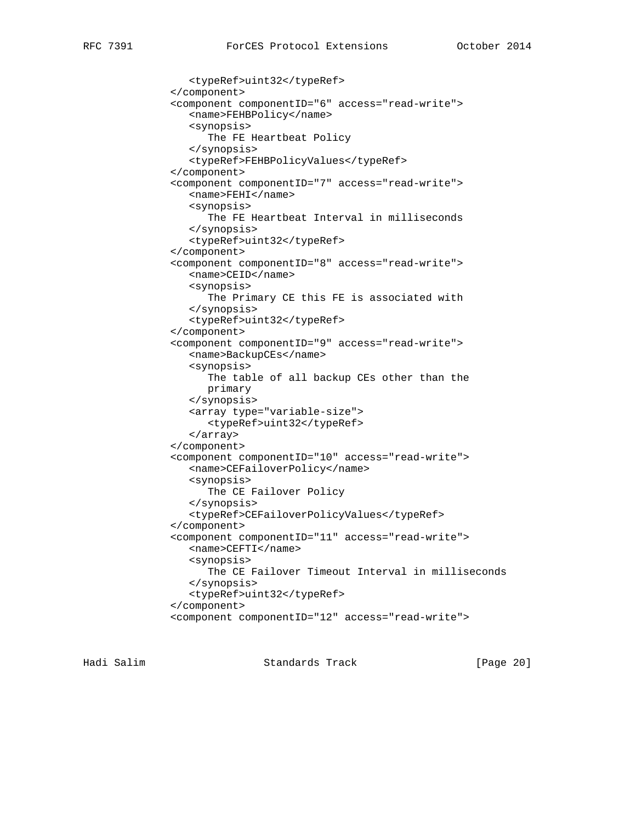```
 <typeRef>uint32</typeRef>
</component>
<component componentID="6" access="read-write">
   <name>FEHBPolicy</name>
   <synopsis>
      The FE Heartbeat Policy
   </synopsis>
   <typeRef>FEHBPolicyValues</typeRef>
</component>
<component componentID="7" access="read-write">
   <name>FEHI</name>
   <synopsis>
      The FE Heartbeat Interval in milliseconds
   </synopsis>
   <typeRef>uint32</typeRef>
</component>
<component componentID="8" access="read-write">
   <name>CEID</name>
   <synopsis>
      The Primary CE this FE is associated with
   </synopsis>
   <typeRef>uint32</typeRef>
</component>
<component componentID="9" access="read-write">
   <name>BackupCEs</name>
   <synopsis>
      The table of all backup CEs other than the
      primary
   </synopsis>
   <array type="variable-size">
      <typeRef>uint32</typeRef>
   </array>
</component>
<component componentID="10" access="read-write">
   <name>CEFailoverPolicy</name>
   <synopsis>
      The CE Failover Policy
   </synopsis>
   <typeRef>CEFailoverPolicyValues</typeRef>
</component>
<component componentID="11" access="read-write">
   <name>CEFTI</name>
   <synopsis>
      The CE Failover Timeout Interval in milliseconds
   </synopsis>
   <typeRef>uint32</typeRef>
</component>
<component componentID="12" access="read-write">
```
Hadi Salim Standards Track [Page 20]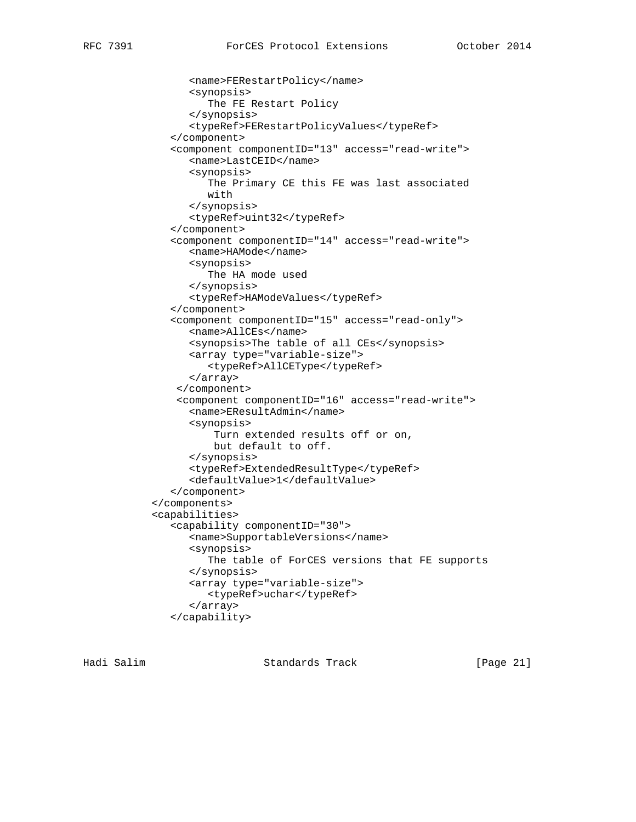```
 <name>FERestartPolicy</name>
      <synopsis>
         The FE Restart Policy
      </synopsis>
      <typeRef>FERestartPolicyValues</typeRef>
   </component>
   <component componentID="13" access="read-write">
      <name>LastCEID</name>
      <synopsis>
         The Primary CE this FE was last associated
         with
      </synopsis>
      <typeRef>uint32</typeRef>
   </component>
   <component componentID="14" access="read-write">
      <name>HAMode</name>
      <synopsis>
         The HA mode used
      </synopsis>
      <typeRef>HAModeValues</typeRef>
   </component>
   <component componentID="15" access="read-only">
      <name>AllCEs</name>
      <synopsis>The table of all CEs</synopsis>
      <array type="variable-size">
         <typeRef>AllCEType</typeRef>
      </array>
    </component>
    <component componentID="16" access="read-write">
      <name>EResultAdmin</name>
      <synopsis>
          Turn extended results off or on,
          but default to off.
      </synopsis>
      <typeRef>ExtendedResultType</typeRef>
      <defaultValue>1</defaultValue>
   </component>
</components>
<capabilities>
   <capability componentID="30">
      <name>SupportableVersions</name>
      <synopsis>
         The table of ForCES versions that FE supports
      </synopsis>
      <array type="variable-size">
         <typeRef>uchar</typeRef>
      </array>
   </capability>
```
Hadi Salim Standards Track [Page 21]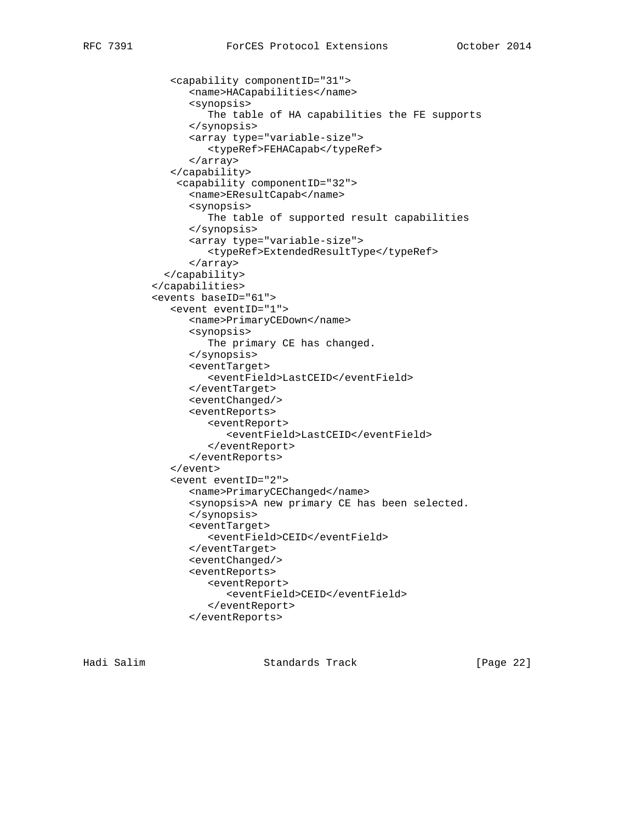<capability componentID="31"> <name>HACapabilities</name> <synopsis> The table of HA capabilities the FE supports </synopsis> <array type="variable-size"> <typeRef>FEHACapab</typeRef> </array> </capability> <capability componentID="32"> <name>EResultCapab</name> <synopsis> The table of supported result capabilities </synopsis> <array type="variable-size"> <typeRef>ExtendedResultType</typeRef> </array> </capability> </capabilities> <events baseID="61"> <event eventID="1"> <name>PrimaryCEDown</name> <synopsis> The primary CE has changed. </synopsis> <eventTarget> <eventField>LastCEID</eventField> </eventTarget> <eventChanged/> <eventReports> <eventReport> <eventField>LastCEID</eventField> </eventReport> </eventReports> </event> <event eventID="2"> <name>PrimaryCEChanged</name> <synopsis>A new primary CE has been selected. </synopsis> <eventTarget> <eventField>CEID</eventField> </eventTarget> <eventChanged/> <eventReports> <eventReport> <eventField>CEID</eventField> </eventReport> </eventReports>

Hadi Salim Standards Track [Page 22]